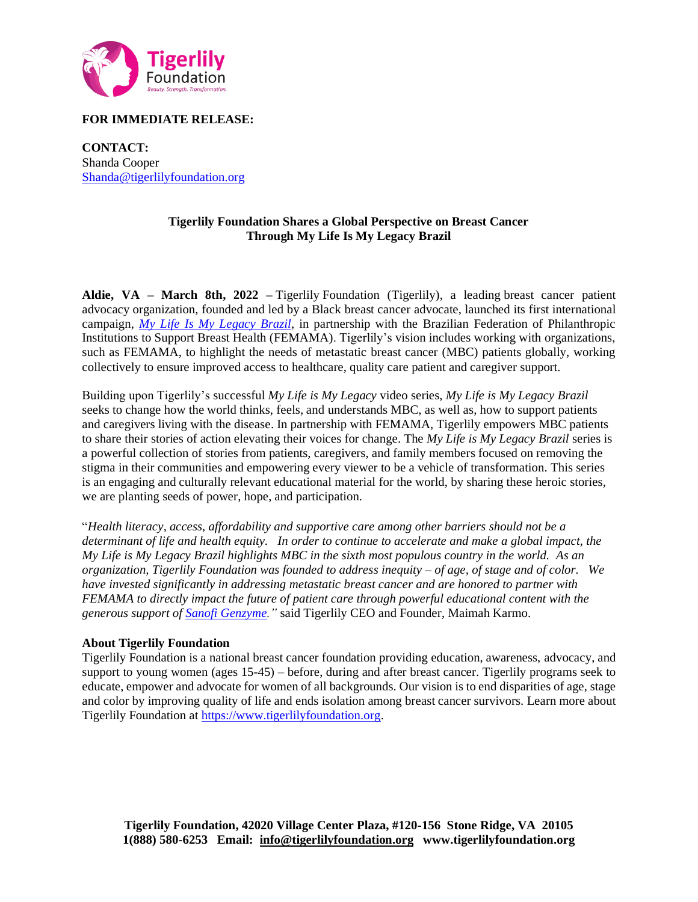

# **FOR IMMEDIATE RELEASE:**

**CONTACT:**  Shanda Cooper [Shanda@tigerlilyfoundation.org](mailto:Shanda@tigerlilyfoundation.org)

## **Tigerlily Foundation Shares a Global Perspective on Breast Cancer Through My Life Is My Legacy Brazil**

**Aldie, VA – March 8th, 2022 –** Tigerlily Foundation (Tigerlily), a leading breast cancer patient advocacy organization, founded and led by a Black breast cancer advocate, launched its first international campaign, *[My Life Is My Legacy Brazil](https://www.youtube.com/channel/UC2yvVrnw23L9kGtHVenCYCw/videos?app=desktop)*, in partnership with the Brazilian Federation of Philanthropic Institutions to Support Breast Health (FEMAMA). Tigerlily's vision includes working with organizations, such as FEMAMA, to highlight the needs of metastatic breast cancer (MBC) patients globally, working collectively to ensure improved access to healthcare, quality care patient and caregiver support.

Building upon Tigerlily's successful *My Life is My Legacy* video series, *My Life is My Legacy Brazil* seeks to change how the world thinks, feels, and understands MBC, as well as, how to support patients and caregivers living with the disease. In partnership with FEMAMA, Tigerlily empowers MBC patients to share their stories of action elevating their voices for change. The *My Life is My Legacy Brazil* series is a powerful collection of stories from patients, caregivers, and family members focused on removing the stigma in their communities and empowering every viewer to be a vehicle of transformation. This series is an engaging and culturally relevant educational material for the world, by sharing these heroic stories, we are planting seeds of power, hope, and participation.

"*Health literacy, access, affordability and supportive care among other barriers should not be a determinant of life and health equity. In order to continue to accelerate and make a global impact, the My Life is My Legacy Brazil highlights MBC in the sixth most populous country in the world. As an organization, Tigerlily Foundation was founded to address inequity – of age, of stage and of color. We have invested significantly in addressing metastatic breast cancer and are honored to partner with FEMAMA to directly impact the future of patient care through powerful educational content with the generous support of Sanofi [Genzyme.](https://www.sanofi.com/)"* said Tigerlily CEO and Founder, Maimah Karmo.

## **About Tigerlily Foundation**

Tigerlily Foundation is a national breast cancer foundation providing education, awareness, advocacy, and support to young women (ages 15-45) – before, during and after breast cancer. Tigerlily programs seek to educate, empower and advocate for women of all backgrounds. Our vision is to end disparities of age, stage and color by improving quality of life and ends isolation among breast cancer survivors. Learn more about Tigerlily Foundation at [https://www.tigerlilyfoundation.org.](https://www.tigerlilyfoundation.org/)